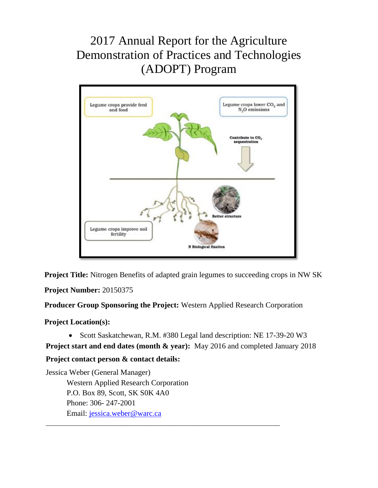# 2017 Annual Report for the Agriculture Demonstration of Practices and Technologies (ADOPT) Program



**Project Title:** Nitrogen Benefits of adapted grain legumes to succeeding crops in NW SK

**Project Number:** 20150375

**Producer Group Sponsoring the Project:** Western Applied Research Corporation

**Project Location(s):**

• Scott Saskatchewan, R.M. #380 Legal land description: NE 17-39-20 W3

**Project start and end dates (month & year):** May 2016 and completed January 2018

\_\_\_\_\_\_\_\_\_\_\_\_\_\_\_\_\_\_\_\_\_\_\_\_\_\_\_\_\_\_\_\_\_\_\_\_\_\_\_\_\_\_\_\_\_\_\_\_\_\_\_\_\_\_\_\_\_\_\_\_\_\_\_\_\_\_\_\_\_

# **Project contact person & contact details:**

Jessica Weber (General Manager) Western Applied Research Corporation P.O. Box 89, Scott, SK S0K 4A0 Phone: 306- 247-2001 Email: [jessica.weber@warc.ca](mailto:jessica.weber@warc.ca)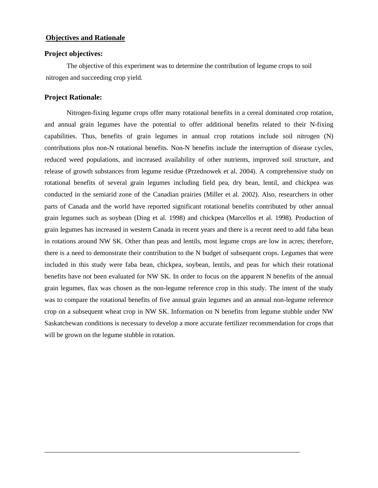## **Objectives and Rationale**

#### **Project objectives:**

The objective of this experiment was to determine the contribution of legume crops to soil nitrogen and succeeding crop yield.

#### **Project Rationale:**

Nitrogen-fixing legume crops offer many rotational benefits in a cereal dominated crop rotation, and annual grain legumes have the potential to offer additional benefits related to their N-fixing capabilities. Thus, benefits of grain legumes in annual crop rotations include soil nitrogen (N) contributions plus non-N rotational benefits. Non-N benefits include the interruption of disease cycles, reduced weed populations, and increased availability of other nutrients, improved soil structure, and release of growth substances from legume residue (Przednowek et al. 2004). A comprehensive study on rotational benefits of several grain legumes including field pea, dry bean, lentil, and chickpea was conducted in the semiarid zone of the Canadian prairies (Miller et al. 2002). Also, researchers in other parts of Canada and the world have reported significant rotational benefits contributed by other annual grain legumes such as soybean (Ding et al. 1998) and chickpea (Marcellos et al. 1998). Production of grain legumes has increased in western Canada in recent years and there is a recent need to add faba bean in rotations around NW SK. Other than peas and lentils, most legume crops are low in acres; therefore, there is a need to demonstrate their contribution to the N budget of subsequent crops. Legumes that were included in this study were faba bean, chickpea, soybean, lentils, and peas for which their rotational benefits have not been evaluated for NW SK. In order to focus on the apparent N benefits of the annual grain legumes, flax was chosen as the non-legume reference crop in this study. The intent of the study was to compare the rotational benefits of five annual grain legumes and an annual non-legume reference crop on a subsequent wheat crop in NW SK. Information on N benefits from legume stubble under NW Saskatchewan conditions is necessary to develop a more accurate fertilizer recommendation for crops that will be grown on the legume stubble in rotation.

\_\_\_\_\_\_\_\_\_\_\_\_\_\_\_\_\_\_\_\_\_\_\_\_\_\_\_\_\_\_\_\_\_\_\_\_\_\_\_\_\_\_\_\_\_\_\_\_\_\_\_\_\_\_\_\_\_\_\_\_\_\_\_\_\_\_\_\_\_\_\_\_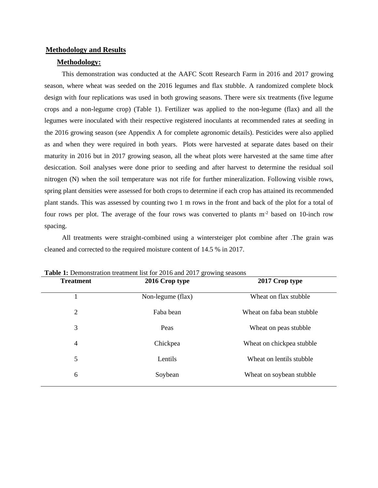#### **Methodology and Results**

## **Methodology:**

This demonstration was conducted at the AAFC Scott Research Farm in 2016 and 2017 growing season, where wheat was seeded on the 2016 legumes and flax stubble. A randomized complete block design with four replications was used in both growing seasons. There were six treatments (five legume crops and a non-legume crop) (Table 1). Fertilizer was applied to the non-legume (flax) and all the legumes were inoculated with their respective registered inoculants at recommended rates at seeding in the 2016 growing season (see Appendix A for complete agronomic details). Pesticides were also applied as and when they were required in both years. Plots were harvested at separate dates based on their maturity in 2016 but in 2017 growing season, all the wheat plots were harvested at the same time after desiccation. Soil analyses were done prior to seeding and after harvest to determine the residual soil nitrogen (N) when the soil temperature was not rife for further mineralization. Following visible rows, spring plant densities were assessed for both crops to determine if each crop has attained its recommended plant stands. This was assessed by counting two 1 m rows in the front and back of the plot for a total of four rows per plot. The average of the four rows was converted to plants m-2 based on 10-inch row spacing.

All treatments were straight-combined using a wintersteiger plot combine after .The grain was cleaned and corrected to the required moisture content of 14.5 % in 2017.

| <b>Treatment</b> | 2016 Crop type    | 2017 Crop type             |  |  |
|------------------|-------------------|----------------------------|--|--|
|                  | Non-legume (flax) | Wheat on flax stubble      |  |  |
| $\overline{2}$   | Faba bean         | Wheat on faba bean stubble |  |  |
| 3                | Peas              | Wheat on peas stubble      |  |  |
| $\overline{4}$   | Chickpea          | Wheat on chickpea stubble  |  |  |
| 5                | Lentils           | Wheat on lentils stubble   |  |  |
| 6                | Soybean           | Wheat on soybean stubble   |  |  |
|                  |                   |                            |  |  |

**Table 1:** Demonstration treatment list for 2016 and 2017 growing seasons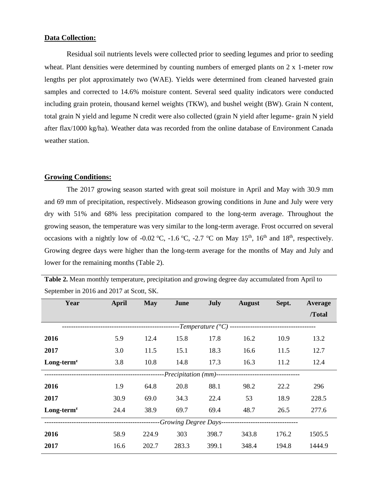# **Data Collection:**

Residual soil nutrients levels were collected prior to seeding legumes and prior to seeding wheat. Plant densities were determined by counting numbers of emerged plants on 2 x 1-meter row lengths per plot approximately two (WAE). Yields were determined from cleaned harvested grain samples and corrected to 14.6% moisture content. Several seed quality indicators were conducted including grain protein, thousand kernel weights (TKW), and bushel weight (BW). Grain N content, total grain N yield and legume N credit were also collected (grain N yield after legume- grain N yield after flax/1000 kg/ha). Weather data was recorded from the online database of Environment Canada weather station.

# **Growing Conditions:**

The 2017 growing season started with great soil moisture in April and May with 30.9 mm and 69 mm of precipitation, respectively. Midseason growing conditions in June and July were very dry with 51% and 68% less precipitation compared to the long-term average. Throughout the growing season, the temperature was very similar to the long-term average. Frost occurred on several occasions with a nightly low of -0.02 °C, -1.6 °C, -2.7 °C on May 15<sup>th</sup>, 16<sup>th</sup> and 18<sup>th</sup>, respectively. Growing degree days were higher than the long-term average for the months of May and July and lower for the remaining months (Table 2).

| Year                  | <b>April</b> | <b>May</b> | June  | July  | <b>August</b> | Sept. | Average |
|-----------------------|--------------|------------|-------|-------|---------------|-------|---------|
|                       |              |            |       |       |               |       | /Total  |
|                       |              |            |       |       |               |       |         |
| 2016                  | 5.9          | 12.4       | 15.8  | 17.8  | 16.2          | 10.9  | 13.2    |
| 2017                  | 3.0          | 11.5       | 15.1  | 18.3  | 16.6          | 11.5  | 12.7    |
| $Long-termz$          | 3.8          | 10.8       | 14.8  | 17.3  | 16.3          | 11.2  | 12.4    |
| -Precipitation (mm)-- |              |            |       |       |               |       |         |
| 2016                  | 1.9          | 64.8       | 20.8  | 88.1  | 98.2          | 22.2  | 296     |
| 2017                  | 30.9         | 69.0       | 34.3  | 22.4  | 53            | 18.9  | 228.5   |
| $Long-termz$          | 24.4         | 38.9       | 69.7  | 69.4  | 48.7          | 26.5  | 277.6   |
| Growing Degree Days-- |              |            |       |       |               |       |         |
| 2016                  | 58.9         | 224.9      | 303   | 398.7 | 343.8         | 176.2 | 1505.5  |
| 2017                  | 16.6         | 202.7      | 283.3 | 399.1 | 348.4         | 194.8 | 1444.9  |

**Table 2.** Mean monthly temperature, precipitation and growing degree day accumulated from April to September in 2016 and 2017 at Scott, SK.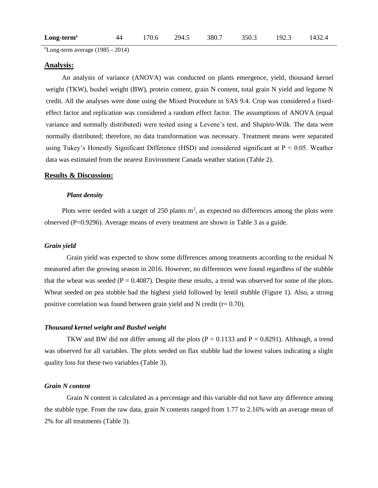| $Long-termz$ |  |  |  | 44 170.6 294.5 380.7 350.3 192.3 1432.4 |  |  |
|--------------|--|--|--|-----------------------------------------|--|--|
|--------------|--|--|--|-----------------------------------------|--|--|

 $\text{z}$ Long-term average (1985 - 2014)

#### **Analysis:**

An analysis of variance (ANOVA) was conducted on plants emergence, yield, thousand kernel weight (TKW), bushel weight (BW), protein content, grain N content, total grain N yield and legume N credit. All the analyses were done using the Mixed Procedure in SAS 9.4. Crop was considered a fixedeffect factor and replication was considered a random effect factor. The assumptions of ANOVA (equal variance and normally distributed) were tested using a Levene's test, and Shapiro-Wilk. The data were normally distributed; therefore, no data transformation was necessary. Treatment means were separated using Tukey's Honestly Significant Difference (HSD) and considered significant at  $P < 0.05$ . Weather data was estimated from the nearest Environment Canada weather station (Table 2).

#### **Results & Discussion:**

#### *Plant density*

Plots were seeded with a target of  $250$  plants  $m<sup>2</sup>$ , as expected no differences among the plots were observed (P=0.9296). Average means of every treatment are shown in Table 3 as a guide.

#### *Grain yield*

Grain yield was expected to show some differences among treatments according to the residual N measured after the growing season in 2016. However, no differences were found regardless of the stubble that the wheat was seeded ( $P = 0.4087$ ). Despite these results, a trend was observed for some of the plots. Wheat seeded on pea stubble had the highest yield followed by lentil stubble (Figure 1). Also, a strong positive correlation was found between grain yield and N credit ( $r= 0.70$ ).

#### *Thousand kernel weight and Bushel weight*

TKW and BW did not differ among all the plots ( $P = 0.1133$  and  $P = 0.8291$ ). Although, a trend was observed for all variables. The plots seeded on flax stubble had the lowest values indicating a slight quality loss for these two variables (Table 3).

### *Grain N content*

Grain N content is calculated as a percentage and this variable did not have any difference among the stubble type. From the raw data, grain N contents ranged from 1.77 to 2.16% with an average mean of 2% for all treatments (Table 3).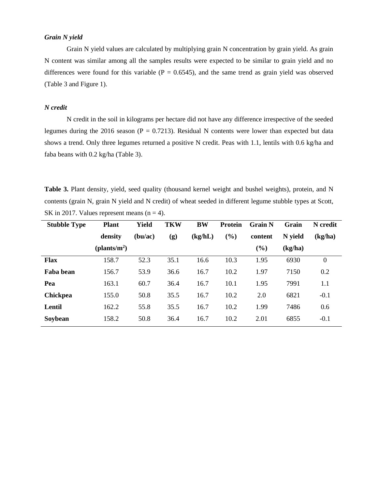## *Grain N yield*

Grain N yield values are calculated by multiplying grain N concentration by grain yield. As grain N content was similar among all the samples results were expected to be similar to grain yield and no differences were found for this variable ( $P = 0.6545$ ), and the same trend as grain yield was observed (Table 3 and Figure 1).

#### *N credit*

N credit in the soil in kilograms per hectare did not have any difference irrespective of the seeded legumes during the 2016 season ( $P = 0.7213$ ). Residual N contents were lower than expected but data shows a trend. Only three legumes returned a positive N credit. Peas with 1.1, lentils with 0.6 kg/ha and faba beans with 0.2 kg/ha (Table 3).

Table 3. Plant density, yield, seed quality (thousand kernel weight and bushel weights), protein, and N contents (grain N, grain N yield and N credit) of wheat seeded in different legume stubble types at Scott, SK in 2017. Values represent means  $(n = 4)$ .

| <b>Stubble Type</b> | <b>Plant</b>             | Yield   | <b>TKW</b> | <b>BW</b> | <b>Protein</b> | <b>Grain N</b> | Grain   | N credit       |
|---------------------|--------------------------|---------|------------|-----------|----------------|----------------|---------|----------------|
|                     | density                  | (bu/ac) | (g)        | (kg/hL)   | (%)            | content        | N yield | (kg/ha)        |
|                     | (plants/m <sup>2</sup> ) |         |            |           |                | $(\%)$         | (kg/ha) |                |
| <b>Flax</b>         | 158.7                    | 52.3    | 35.1       | 16.6      | 10.3           | 1.95           | 6930    | $\overline{0}$ |
| Faba bean           | 156.7                    | 53.9    | 36.6       | 16.7      | 10.2           | 1.97           | 7150    | 0.2            |
| Pea                 | 163.1                    | 60.7    | 36.4       | 16.7      | 10.1           | 1.95           | 7991    | 1.1            |
| <b>Chickpea</b>     | 155.0                    | 50.8    | 35.5       | 16.7      | 10.2           | 2.0            | 6821    | $-0.1$         |
| Lentil              | 162.2                    | 55.8    | 35.5       | 16.7      | 10.2           | 1.99           | 7486    | 0.6            |
| Soybean             | 158.2                    | 50.8    | 36.4       | 16.7      | 10.2           | 2.01           | 6855    | $-0.1$         |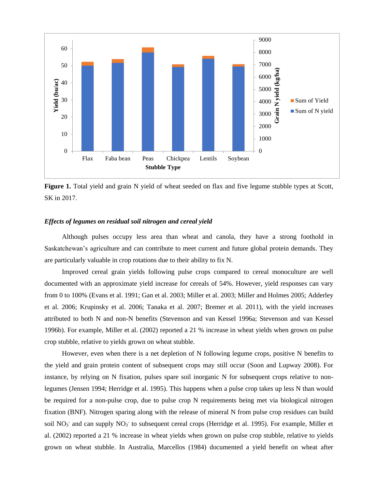

**Figure 1.** Total yield and grain N yield of wheat seeded on flax and five legume stubble types at Scott, SK in 2017.

#### *Effects of legumes on residual soil nitrogen and cereal yield*

Although pulses occupy less area than wheat and canola, they have a strong foothold in Saskatchewan's agriculture and can contribute to meet current and future global protein demands. They are particularly valuable in crop rotations due to their ability to fix N.

Improved cereal grain yields following pulse crops compared to cereal monoculture are well documented with an approximate yield increase for cereals of 54%. However, yield responses can vary from 0 to 100% (Evans et al. 1991; Gan et al. 2003; Miller et al. 2003; Miller and Holmes 2005; Adderley et al. 2006; Krupinsky et al. 2006; Tanaka et al. 2007; Bremer et al. 2011), with the yield increases attributed to both N and non-N benefits (Stevenson and van Kessel 1996a; Stevenson and van Kessel 1996b). For example, Miller et al. (2002) reported a 21 % increase in wheat yields when grown on pulse crop stubble, relative to yields grown on wheat stubble.

However, even when there is a net depletion of N following legume crops, positive N benefits to the yield and grain protein content of subsequent crops may still occur (Soon and Lupway 2008). For instance, by relying on N fixation, pulses spare soil inorganic N for subsequent crops relative to nonlegumes (Jensen 1994; Herridge et al. 1995). This happens when a pulse crop takes up less N than would be required for a non-pulse crop, due to pulse crop N requirements being met via biological nitrogen fixation (BNF). Nitrogen sparing along with the release of mineral N from pulse crop residues can build soil  $NO<sub>3</sub>$  and can supply  $NO<sub>3</sub>$  to subsequent cereal crops (Herridge et al. 1995). For example, Miller et al. (2002) reported a 21 % increase in wheat yields when grown on pulse crop stubble, relative to yields grown on wheat stubble. In Australia, Marcellos (1984) documented a yield benefit on wheat after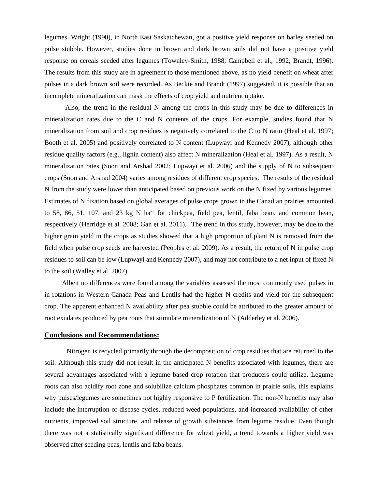legumes. Wright (1990), in North East Saskatchewan, got a positive yield response on barley seeded on pulse stubble. However, studies done in brown and dark brown soils did not have a positive yield response on cereals seeded after legumes (Townley-Smith, 1988; Campbell et al., 1992; Brandt, 1996). The results from this study are in agreement to those mentioned above, as no yield benefit on wheat after pulses in a dark brown soil were recorded. As Beckie and Brandt (1997) suggested, it is possible that an incomplete mineralization can mask the effects of crop yield and nutrient uptake.

 Also, the trend in the residual N among the crops in this study may be due to differences in mineralization rates due to the C and N contents of the crops. For example, studies found that N mineralization from soil and crop residues is negatively correlated to the C to N ratio (Heal et al. 1997; Booth et al. 2005) and positively correlated to N content (Lupwayi and Kennedy 2007), although other residue quality factors (e.g., lignin content) also affect N mineralization (Heal et al. 1997). As a result, N mineralization rates (Soon and Arshad 2002; Lupwayi et al. 2006) and the supply of N to subsequent crops (Soon and Arshad 2004) varies among residues of different crop species. The results of the residual N from the study were lower than anticipated based on previous work on the N fixed by various legumes. Estimates of N fixation based on global averages of pulse crops grown in the Canadian prairies amounted to 58, 86, 51, 107, and 23 kg N ha<sup>-1</sup> for chickpea, field pea, lentil, faba bean, and common bean, respectively (Herridge et al. 2008; Gan et al. 2011). The trend in this study, however, may be due to the higher grain yield in the crops as studies showed that a high proportion of plant N is removed from the field when pulse crop seeds are harvested (Peoples et al. 2009). As a result, the return of N in pulse crop residues to soil can be low (Lupwayi and Kennedy 2007), and may not contribute to a net input of fixed N to the soil (Walley et al. 2007).

Albeit no differences were found among the variables assessed the most commonly used pulses in in rotations in Western Canada Peas and Lentils had the higher N credits and yield for the subsequent crop. The apparent enhanced N availability after pea stubble could be attributed to the greater amount of root exudates produced by pea roots that stimulate mineralization of N (Adderley et al. 2006).

#### **Conclusions and Recommendations:**

Nitrogen is recycled primarily through the decomposition of crop residues that are returned to the soil. Although this study did not result in the anticipated N benefits associated with legumes, there are several advantages associated with a legume based crop rotation that producers could utilize*.* Legume roots can also acidify root zone and solubilize calcium phosphates common in prairie soils, this explains why pulses/legumes are sometimes not highly responsive to P fertilization. The non-N benefits may also include the interruption of disease cycles, reduced weed populations, and increased availability of other nutrients, improved soil structure, and release of growth substances from legume residue. Even though there was not a statistically significant difference for wheat yield, a trend towards a higher yield was observed after seeding peas, lentils and faba beans.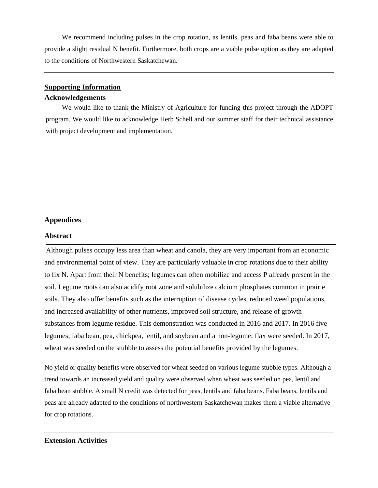We recommend including pulses in the crop rotation, as lentils, peas and faba beans were able to provide a slight residual N benefit. Furthermore, both crops are a viable pulse option as they are adapted to the conditions of Northwestern Saskatchewan.

### **Supporting Information**

#### **Acknowledgements**

We would like to thank the Ministry of Agriculture for funding this project through the ADOPT program. We would like to acknowledge Herb Schell and our summer staff for their technical assistance with project development and implementation.

# **Appendices**

#### **Abstract**

Although pulses occupy less area than wheat and canola, they are very important from an economic and environmental point of view. They are particularly valuable in crop rotations due to their ability to fix N. Apart from their N benefits; legumes can often mobilize and access P already present in the soil. Legume roots can also acidify root zone and solubilize calcium phosphates common in prairie soils. They also offer benefits such as the interruption of disease cycles, reduced weed populations, and increased availability of other nutrients, improved soil structure, and release of growth substances from legume residue. This demonstration was conducted in 2016 and 2017. In 2016 five legumes; faba bean, pea, chickpea, lentil, and soybean and a non-legume; flax were seeded. In 2017, wheat was seeded on the stubble to assess the potential benefits provided by the legumes.

No yield or quality benefits were observed for wheat seeded on various legume stubble types. Although a trend towards an increased yield and quality were observed when wheat was seeded on pea, lentil and faba bean stubble. A small N credit was detected for peas, lentils and faba beans. Faba beans, lentils and peas are already adapted to the conditions of northwestern Saskatchewan makes them a viable alternative for crop rotations.

## **Extension Activities**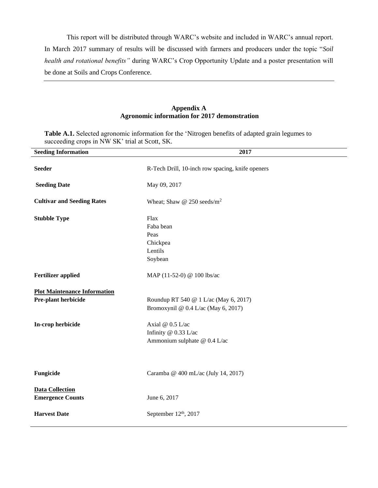This report will be distributed through WARC's website and included in WARC's annual report. In March 2017 summary of results will be discussed with farmers and producers under the topic "*Soil health and rotational benefits"* during WARC's Crop Opportunity Update and a poster presentation will be done at Soils and Crops Conference.

## **Appendix A Agronomic information for 2017 demonstration**

**Table A.1.** Selected agronomic information for the 'Nitrogen benefits of adapted grain legumes to succeeding crops in NW SK' trial at Scott, SK.

| <b>Seeding Information</b>                                 | 2017                                                                         |  |  |  |  |
|------------------------------------------------------------|------------------------------------------------------------------------------|--|--|--|--|
| <b>Seeder</b>                                              | R-Tech Drill, 10-inch row spacing, knife openers                             |  |  |  |  |
| <b>Seeding Date</b>                                        | May 09, 2017                                                                 |  |  |  |  |
| <b>Cultivar and Seeding Rates</b>                          | Wheat; Shaw @ $250$ seeds/m <sup>2</sup>                                     |  |  |  |  |
| <b>Stubble Type</b>                                        | Flax<br>Faba bean<br>Peas<br>Chickpea<br>Lentils<br>Soybean                  |  |  |  |  |
| <b>Fertilizer applied</b>                                  | MAP (11-52-0) @ 100 lbs/ac                                                   |  |  |  |  |
| <b>Plot Maintenance Information</b><br>Pre-plant herbicide | Roundup RT 540 @ 1 L/ac (May 6, 2017)<br>Bromoxynil @ 0.4 L/ac (May 6, 2017) |  |  |  |  |
| In-crop herbicide                                          | Axial @ 0.5 L/ac<br>Infinity @ 0.33 L/ac<br>Ammonium sulphate @ 0.4 L/ac     |  |  |  |  |
| Fungicide                                                  | Caramba @ 400 mL/ac (July 14, 2017)                                          |  |  |  |  |
| <b>Data Collection</b><br><b>Emergence Counts</b>          | June 6, 2017                                                                 |  |  |  |  |
| <b>Harvest Date</b>                                        | September 12th, 2017                                                         |  |  |  |  |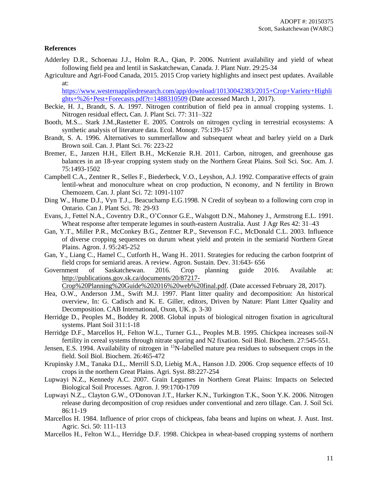## **References**

- Adderley D.R., Schoenau J.J., Holm R.A., Qian, P. 2006. Nutrient availability and yield of wheat following field pea and lentil in Saskatchewan, Canada. J. Plant Nutr. 29:25-34
- Agriculture and Agri-Food Canada, 2015. 2015 Crop variety highlights and insect pest updates. Available at:

[https://www.westernappliedresearch.com/app/download/10130042383/2015+Crop+Variety+Highli](https://www.westernappliedresearch.com/app/download/10130042383/2015+Crop+Variety+Highlights+%26+Pest+Forecasts.pdf?t=1488310509) [ghts+%26+Pest+Forecasts.pdf?t=1488310509](https://www.westernappliedresearch.com/app/download/10130042383/2015+Crop+Variety+Highlights+%26+Pest+Forecasts.pdf?t=1488310509) (Date accessed March 1, 2017).

- Beckie, H. J., Brandt, S. A. 1997. Nitrogen contribution of field pea in annual cropping systems. 1. Nitrogen residual effect**.** Can. J. Plant Sci. 77: 311–322
- Booth, M.S... Stark J.M.,Rastetter E. 2005. Controls on nitrogen cycling in terrestrial ecosystems: A synthetic analysis of literature data. Ecol. Monogr. 75:139-157
- Brandt, S. A. 1996. Alternatives to summerfallow and subsequent wheat and barley yield on a Dark Brown soil. Can. J. Plant Sci. 76: 223-22
- Bremer, E., Janzen H.H., Ellert B.H., McKenzie R.H. 2011. Carbon, nitrogen, and greenhouse gas balances in an 18-year cropping system study on the Northern Great Plains. Soil Sci. Soc. Am. J. 75:1493-1502
- Campbell C.A., Zentner R., Selles F., Biederbeck, V.O., Leyshon, A.J. 1992. Comparative effects of grain lentil-wheat and monoculture wheat on crop production, N economy, and N fertility in Brown Chemozem. Can. J. plant Sci. 72: 1091-1107
- Ding W., Hume D.J., Vyn T.J.,. Beacuchamp E.G.1998. N Credit of soybean to a following corn crop in Ontario. Can J. Plant Sci. 78: 29-93
- Evans, J., Fettel N.A., Coventry D.R., O'Connor G.E., Walsgott D.N., Mahoney J., Armstrong E.L. 1991. Wheat response after temperate legumes in south-eastern Australia. Aust J Agr Res 42: 31–43
- Gan, Y.T., Miller P.R., McConkey B.G., Zentner R.P., Stevenson F.C., McDonald C.L. 2003. Influence of diverse cropping sequences on durum wheat yield and protein in the semiarid Northern Great Plains. Agron. J. 95:245-252
- Gan, Y., Liang C., Hamel C., Cutforth H., Wang H.. 2011. Strategies for reducing the carbon footprint of field crops for semiarid areas. A review. Agron. Sustain. Dev. 31:643- 656
- Government of Saskatchewan. 2016. Crop planning guide 2016. Available at: [http://publications.gov.sk.ca/documents/20/87217-](http://publications.gov.sk.ca/documents/20/87217-Crop%20Planning%20Guide%202016%20web%20final.pdf)

[Crop%20Planning%20Guide%202016%20web%20final.pdf.](http://publications.gov.sk.ca/documents/20/87217-Crop%20Planning%20Guide%202016%20web%20final.pdf) (Date accessed February 28, 2017).

- Hea, O.W., Anderson J.M., Swift M.J. 1997. Plant litter quality and decomposition: An historical overview, In: G. Cadisch and K. E. Giller, editors, Driven by Nature: Plant Litter Quality and Decomposition. CAB International, Oxon, UK. p. 3-30
- Herridge D., Peoples M., Boddey R. 2008. Global inputs of biological nitrogen fixation in agricultural systems. Plant Soil 311:1-18
- Herridge D.F., Marcellos H,. Felton W.L., Turner G.L., Peoples M.B. 1995. Chickpea increases soil-N fertility in cereal systems through nitrate sparing and N2 fixation. Soil Biol. Biochem. 27:545-551.
- Jensen, E.S. 1994. Availability of nitrogen in <sup>15</sup>N-labelled mature pea residues to subsequent crops in the field. Soil Biol. Biochem. 26:465-472
- Krupinsky J.M., Tanaka D.L,. Merrill S.D, Liebig M.A., Hanson J.D. 2006. Crop sequence effects of 10 crops in the northern Great Plains. Agri. Syst. 88:227-254
- Lupwayi N.Z., Kennedy A.C. 2007. Grain Legumes in Northern Great Plains: Impacts on Selected Biological Soil Processes. Agron. J. 99:1700-1709
- Lupwayi N.Z.,. Clayton G.W., O'Donovan J.T., Harker K.N., Turkington T.K., Soon Y.K. 2006. Nitrogen release during decomposition of crop residues under conventional and zero tillage. Can. J. Soil Sci. 86:11-19
- Marcellos H. 1984. Influence of prior crops of chickpeas, faba beans and lupins on wheat. J. Aust. Inst. Agric. Sci. 50: 111-113
- Marcellos H., Felton W.L., Herridge D.F. 1998. Chickpea in wheat-based cropping systems of northern